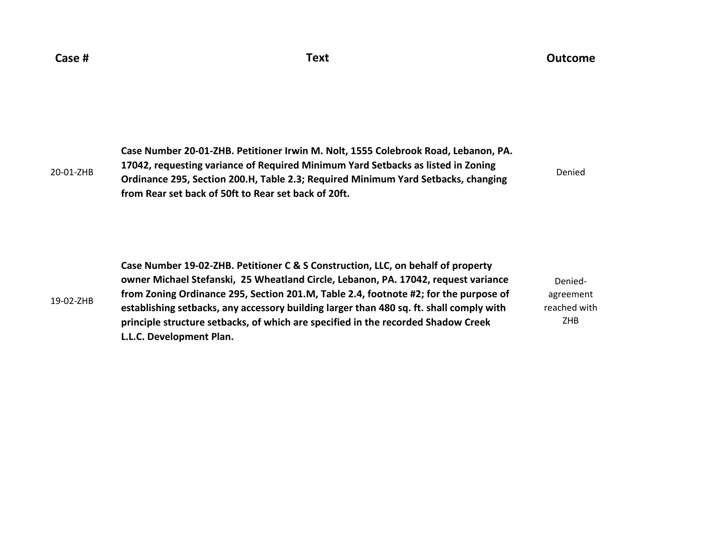20-01-ZHB **Case Number 20-01-ZHB. Petitioner Irwin M. Nolt, 1555 Colebrook Road, Lebanon, PA. 17042, requesting variance of Required Minimum Yard Setbacks as listed in Zoning Ordinance 295, Section 200.H, Table 2.3; Required Minimum Yard Setbacks, changing from Rear set back of 50ft to Rear set back of 20ft.**  Denied

19-02-ZHB **Case Number 19-02-ZHB. Petitioner C & S Construction, LLC, on behalf of property owner Michael Stefanski, 25 Wheatland Circle, Lebanon, PA. 17042, request variance from Zoning Ordinance 295, Section 201.M, Table 2.4, footnote #2; for the purpose of establishing setbacks, any accessory building larger than 480 sq. ft. shall comply with principle structure setbacks, of which are specified in the recorded Shadow Creek L.L.C. Development Plan.**  Deniedagreement reached with ZHB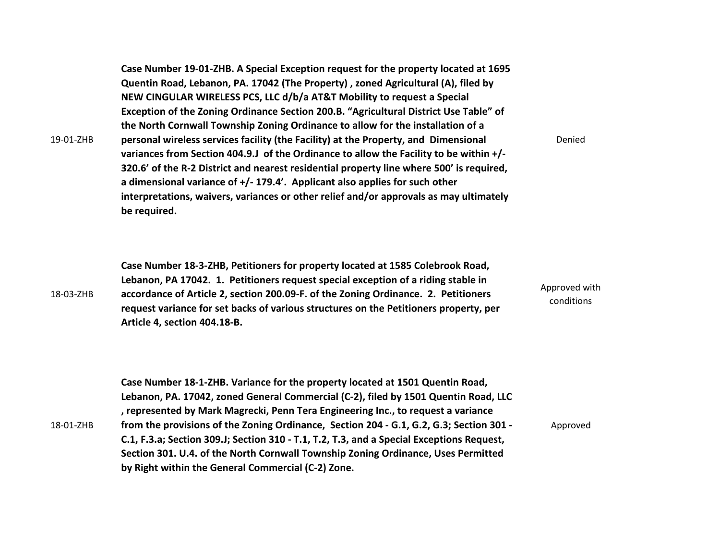19-01-ZHB **Case Number 19-01-ZHB. A Special Exception request for the property located at 1695 Quentin Road, Lebanon, PA. 17042 (The Property) , zoned Agricultural (A), filed by NEW CINGULAR WIRELESS PCS, LLC d/b/a AT&T Mobility to request a Special Exception of the Zoning Ordinance Section 200.B. "Agricultural District Use Table" of the North Cornwall Township Zoning Ordinance to allow for the installation of a personal wireless services facility (the Facility) at the Property, and Dimensional variances from Section 404.9.J of the Ordinance to allow the Facility to be within +/- 320.6' of the R-2 District and nearest residential property line where 500' is required, a dimensional variance of +/- 179.4'. Applicant also applies for such other interpretations, waivers, variances or other relief and/or approvals as may ultimately be required.**

Denied

conditions

18-03-ZHB **Case Number 18-3-ZHB, Petitioners for property located at 1585 Colebrook Road, Lebanon, PA 17042. 1. Petitioners request special exception of a riding stable in accordance of Article 2, section 200.09-F. of the Zoning Ordinance. 2. Petitioners request variance for set backs of various structures on the Petitioners property, per Article 4, section 404.18-B.** Approved with

|           | Case Number 18-1-ZHB. Variance for the property located at 1501 Quentin Road,             |          |
|-----------|-------------------------------------------------------------------------------------------|----------|
|           | Lebanon, PA. 17042, zoned General Commercial (C-2), filed by 1501 Quentin Road, LLC       |          |
|           | , represented by Mark Magrecki, Penn Tera Engineering Inc., to request a variance         |          |
| 18-01-ZHB | from the provisions of the Zoning Ordinance, Section 204 - G.1, G.2, G.3; Section 301 -   | Approved |
|           | C.1, F.3.a; Section 309.J; Section 310 - T.1, T.2, T.3, and a Special Exceptions Request, |          |
|           | Section 301. U.4. of the North Cornwall Township Zoning Ordinance, Uses Permitted         |          |
|           | by Right within the General Commercial (C-2) Zone.                                        |          |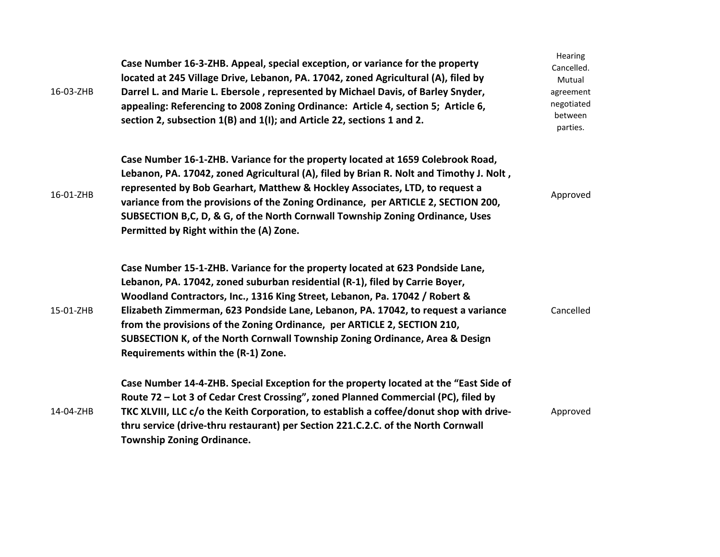| 16-03-ZHB | Case Number 16-3-ZHB. Appeal, special exception, or variance for the property<br>located at 245 Village Drive, Lebanon, PA. 17042, zoned Agricultural (A), filed by<br>Darrel L. and Marie L. Ebersole, represented by Michael Davis, of Barley Snyder,<br>appealing: Referencing to 2008 Zoning Ordinance: Article 4, section 5; Article 6,<br>section 2, subsection 1(B) and 1(I); and Article 22, sections 1 and 2.                                                                                                               | Hearing<br>Cancelled.<br>Mutual<br>agreement<br>negotiated<br>between<br>parties. |
|-----------|--------------------------------------------------------------------------------------------------------------------------------------------------------------------------------------------------------------------------------------------------------------------------------------------------------------------------------------------------------------------------------------------------------------------------------------------------------------------------------------------------------------------------------------|-----------------------------------------------------------------------------------|
| 16-01-ZHB | Case Number 16-1-ZHB. Variance for the property located at 1659 Colebrook Road,<br>Lebanon, PA. 17042, zoned Agricultural (A), filed by Brian R. Nolt and Timothy J. Nolt,<br>represented by Bob Gearhart, Matthew & Hockley Associates, LTD, to request a<br>variance from the provisions of the Zoning Ordinance, per ARTICLE 2, SECTION 200,<br>SUBSECTION B,C, D, & G, of the North Cornwall Township Zoning Ordinance, Uses<br>Permitted by Right within the (A) Zone.                                                          | Approved                                                                          |
| 15-01-ZHB | Case Number 15-1-ZHB. Variance for the property located at 623 Pondside Lane,<br>Lebanon, PA. 17042, zoned suburban residential (R-1), filed by Carrie Boyer,<br>Woodland Contractors, Inc., 1316 King Street, Lebanon, Pa. 17042 / Robert &<br>Elizabeth Zimmerman, 623 Pondside Lane, Lebanon, PA. 17042, to request a variance<br>from the provisions of the Zoning Ordinance, per ARTICLE 2, SECTION 210,<br>SUBSECTION K, of the North Cornwall Township Zoning Ordinance, Area & Design<br>Requirements within the (R-1) Zone. | Cancelled                                                                         |
| 14-04-ZHB | Case Number 14-4-ZHB. Special Exception for the property located at the "East Side of<br>Route 72 - Lot 3 of Cedar Crest Crossing", zoned Planned Commercial (PC), filed by<br>TKC XLVIII, LLC c/o the Keith Corporation, to establish a coffee/donut shop with drive-<br>thru service (drive-thru restaurant) per Section 221.C.2.C. of the North Cornwall<br><b>Township Zoning Ordinance.</b>                                                                                                                                     | Approved                                                                          |